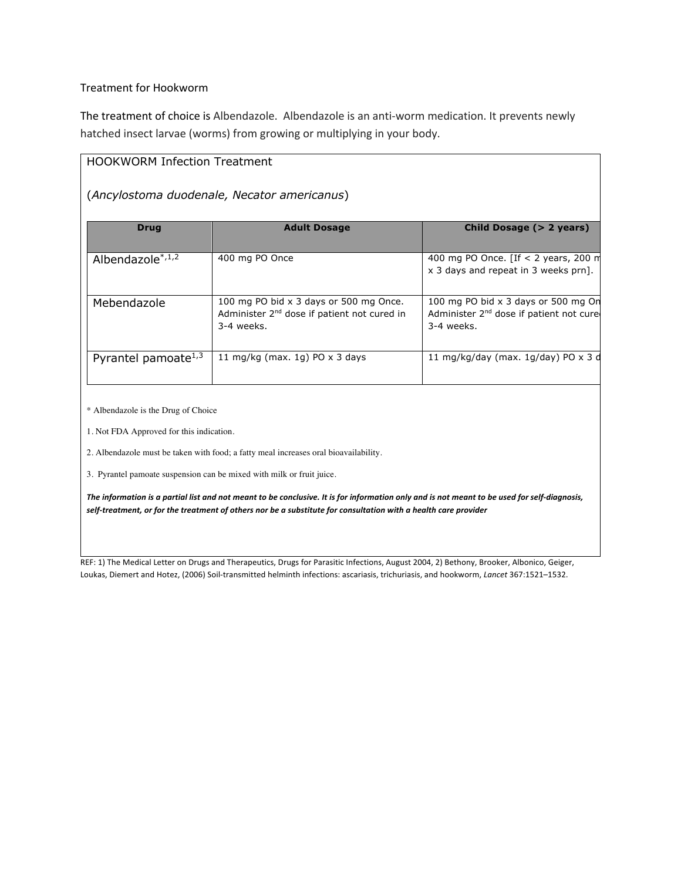## Treatment for Hookworm

The treatment of choice is Albendazole. Albendazole is an anti-worm medication. It prevents newly hatched insect larvae (worms) from growing or multiplying in your body.

## HOOKWORM Infection Treatment

## (*Ancylostoma duodenale, Necator americanus*)

| <b>Drug</b>            | <b>Adult Dosage</b>                                                                                             | Child Dosage (> 2 years)                                                                                 |
|------------------------|-----------------------------------------------------------------------------------------------------------------|----------------------------------------------------------------------------------------------------------|
| Albendazole $*1,2$     | 400 mg PO Once                                                                                                  | 400 mg PO Once. [If $<$ 2 years, 200 m<br>x 3 days and repeat in 3 weeks prn].                           |
| Mebendazole            | 100 mg PO bid x 3 days or 500 mg Once.<br>Administer 2 <sup>nd</sup> dose if patient not cured in<br>3-4 weeks. | 100 mg PO bid x 3 days or 500 mg On<br>Administer 2 <sup>nd</sup> dose if patient not cure<br>3-4 weeks. |
| Pyrantel pamoate $1,3$ | 11 mg/kg (max. 1g) PO $\times$ 3 days                                                                           | 11 mg/kg/day (max. $1q$ /day) PO x 3 d                                                                   |

\* Albendazole is the Drug of Choice

1. Not FDA Approved for this indication.

2. Albendazole must be taken with food; a fatty meal increases oral bioavailability.

3. Pyrantel pamoate suspension can be mixed with milk or fruit juice.

*The information is a partial list and not meant to be conclusive. It is for information only and is not meant to be used for self-diagnosis, self-treatment, or for the treatment of others nor be a substitute for consultation with a health care provider*

REF: 1) The Medical Letter on Drugs and Therapeutics, Drugs for Parasitic Infections, August 2004, 2) Bethony, Brooker, Albonico, Geiger, Loukas, Diemert and Hotez, (2006) Soil-transmitted helminth infections: ascariasis, trichuriasis, and hookworm, *Lancet* 367:1521–1532.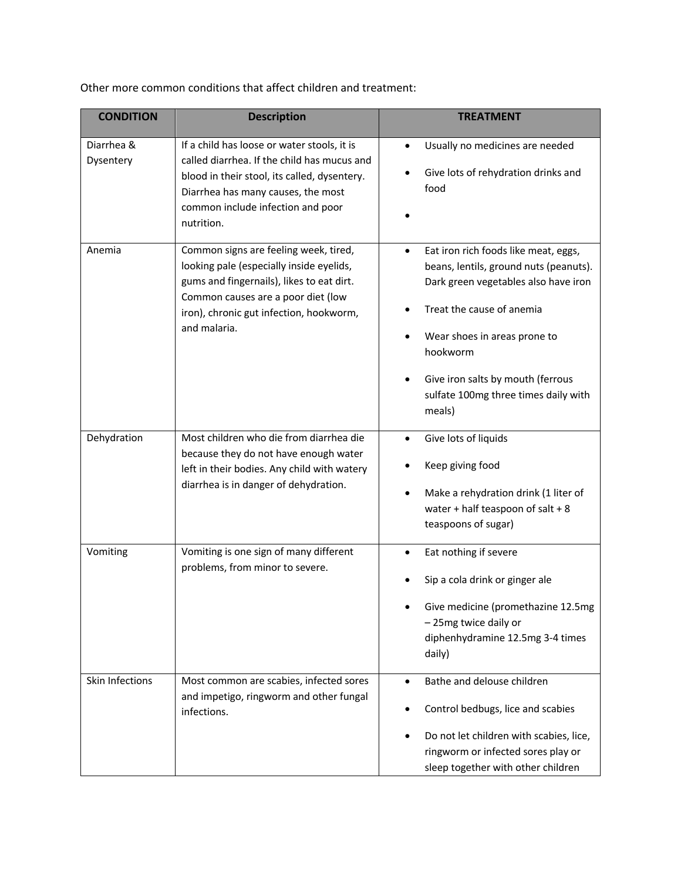| <b>CONDITION</b>        | <b>Description</b>                                                                                                                                                                                                                  | <b>TREATMENT</b>                                                                                                                                                                                                                                                                            |
|-------------------------|-------------------------------------------------------------------------------------------------------------------------------------------------------------------------------------------------------------------------------------|---------------------------------------------------------------------------------------------------------------------------------------------------------------------------------------------------------------------------------------------------------------------------------------------|
|                         |                                                                                                                                                                                                                                     |                                                                                                                                                                                                                                                                                             |
| Diarrhea &<br>Dysentery | If a child has loose or water stools, it is<br>called diarrhea. If the child has mucus and<br>blood in their stool, its called, dysentery.<br>Diarrhea has many causes, the most<br>common include infection and poor<br>nutrition. | Usually no medicines are needed<br>٠<br>Give lots of rehydration drinks and<br>food                                                                                                                                                                                                         |
| Anemia                  | Common signs are feeling week, tired,<br>looking pale (especially inside eyelids,<br>gums and fingernails), likes to eat dirt.<br>Common causes are a poor diet (low<br>iron), chronic gut infection, hookworm,<br>and malaria.     | Eat iron rich foods like meat, eggs,<br>٠<br>beans, lentils, ground nuts (peanuts).<br>Dark green vegetables also have iron<br>Treat the cause of anemia<br>Wear shoes in areas prone to<br>hookworm<br>Give iron salts by mouth (ferrous<br>sulfate 100mg three times daily with<br>meals) |
| Dehydration             | Most children who die from diarrhea die<br>because they do not have enough water<br>left in their bodies. Any child with watery<br>diarrhea is in danger of dehydration.                                                            | Give lots of liquids<br>Keep giving food<br>Make a rehydration drink (1 liter of<br>water + half teaspoon of salt + $8$<br>teaspoons of sugar)                                                                                                                                              |
| Vomiting                | Vomiting is one sign of many different<br>problems, from minor to severe.                                                                                                                                                           | Eat nothing if severe<br>٠<br>Sip a cola drink or ginger ale<br>Give medicine (promethazine 12.5mg<br>-25mg twice daily or<br>diphenhydramine 12.5mg 3-4 times<br>daily)                                                                                                                    |
| Skin Infections         | Most common are scabies, infected sores<br>and impetigo, ringworm and other fungal<br>infections.                                                                                                                                   | Bathe and delouse children<br>٠<br>Control bedbugs, lice and scabies<br>Do not let children with scabies, lice,<br>ringworm or infected sores play or<br>sleep together with other children                                                                                                 |

Other more common conditions that affect children and treatment: